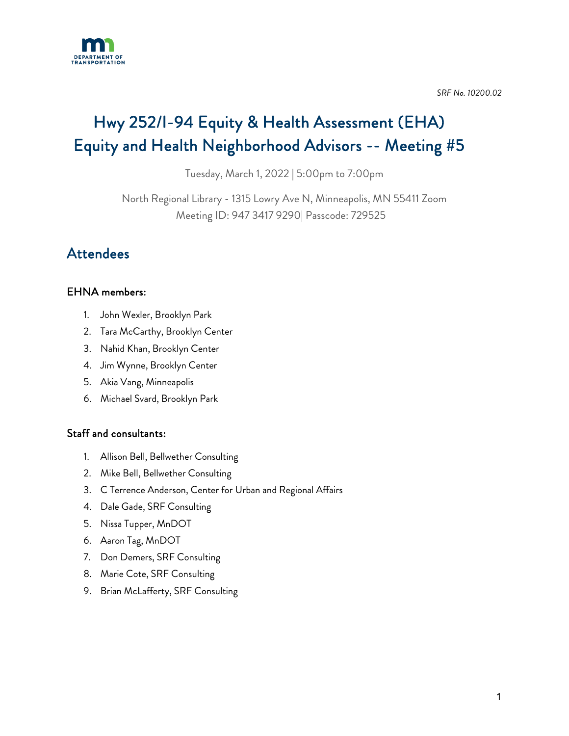

*SRF No. 10200.02* 

# Hwy 252/I-94 Equity & Health Assessment (EHA) Equity and Health Neighborhood Advisors -- Meeting #5

Tuesday, March 1, 2022 | 5:00pm to 7:00pm

North Regional Library - 1315 Lowry Ave N, Minneapolis, MN 55411 Zoom Meeting ID: 947 3417 9290| Passcode: 729525

## Attendees

## EHNA members:

- 1. John Wexler, Brooklyn Park
- 2. Tara McCarthy, Brooklyn Center
- 3. Nahid Khan, Brooklyn Center
- 4. Jim Wynne, Brooklyn Center
- 5. Akia Vang, Minneapolis
- 6. Michael Svard, Brooklyn Park

### Staff and consultants:

- 1. Allison Bell, Bellwether Consulting
- 2. Mike Bell, Bellwether Consulting
- 3. C Terrence Anderson, Center for Urban and Regional Affairs
- 4. Dale Gade, SRF Consulting
- 5. Nissa Tupper, MnDOT
- 6. Aaron Tag, MnDOT
- 7. Don Demers, SRF Consulting
- 8. Marie Cote, SRF Consulting
- 9. Brian McLafferty, SRF Consulting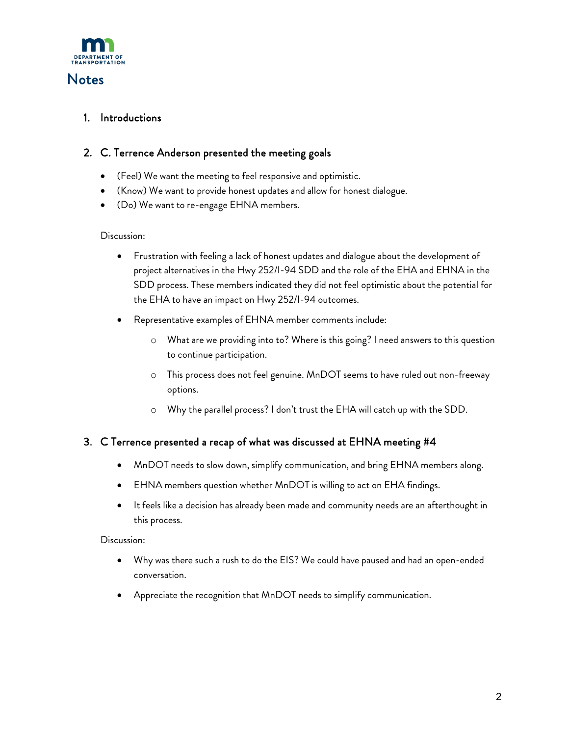

## **Notes**

#### 1. Introductions

#### 2. C. Terrence Anderson presented the meeting goals

- (Feel) We want the meeting to feel responsive and optimistic.
- (Know) We want to provide honest updates and allow for honest dialogue.
- (Do) We want to re-engage EHNA members.

#### Discussion:

- Frustration with feeling a lack of honest updates and dialogue about the development of project alternatives in the Hwy 252/I-94 SDD and the role of the EHA and EHNA in the SDD process. These members indicated they did not feel optimistic about the potential for the EHA to have an impact on Hwy 252/I-94 outcomes.
- Representative examples of EHNA member comments include:
	- o What are we providing into to? Where is this going? I need answers to this question to continue participation.
	- o This process does not feel genuine. MnDOT seems to have ruled out non-freeway options.
	- o Why the parallel process? I don't trust the EHA will catch up with the SDD.

#### 3. C Terrence presented a recap of what was discussed at EHNA meeting #4

- MnDOT needs to slow down, simplify communication, and bring EHNA members along.
- EHNA members question whether MnDOT is willing to act on EHA findings.
- It feels like a decision has already been made and community needs are an afterthought in this process.

#### Discussion:

- Why was there such a rush to do the EIS? We could have paused and had an open-ended conversation.
- Appreciate the recognition that MnDOT needs to simplify communication.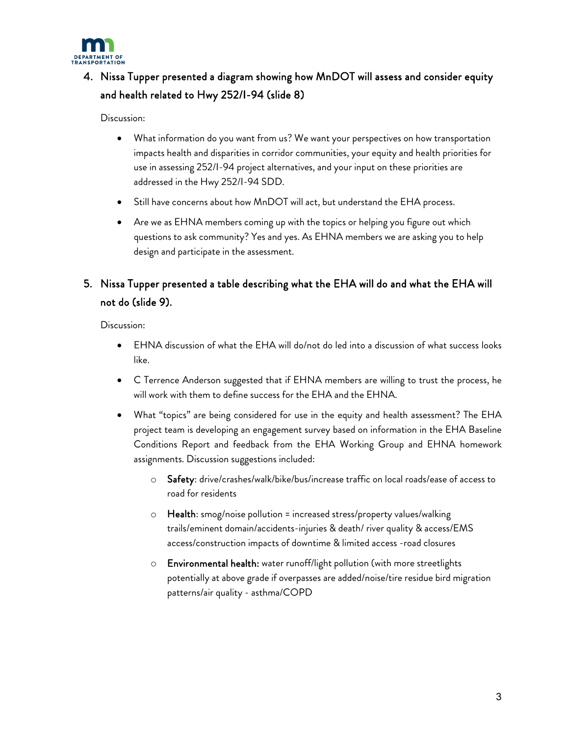

## 4. Nissa Tupper presented a diagram showing how MnDOT will assess and consider equity and health related to Hwy 252/I-94 (slide 8)

Discussion:

- What information do you want from us? We want your perspectives on how transportation impacts health and disparities in corridor communities, your equity and health priorities for use in assessing 252/I-94 project alternatives, and your input on these priorities are addressed in the Hwy 252/I-94 SDD.
- Still have concerns about how MnDOT will act, but understand the EHA process.
- Are we as EHNA members coming up with the topics or helping you figure out which questions to ask community? Yes and yes. As EHNA members we are asking you to help design and participate in the assessment.

## 5. Nissa Tupper presented a table describing what the EHA will do and what the EHA will not do (slide 9).

Discussion:

- EHNA discussion of what the EHA will do/not do led into a discussion of what success looks like.
- C Terrence Anderson suggested that if EHNA members are willing to trust the process, he will work with them to define success for the EHA and the EHNA.
- What "topics" are being considered for use in the equity and health assessment? The EHA project team is developing an engagement survey based on information in the EHA Baseline Conditions Report and feedback from the EHA Working Group and EHNA homework assignments. Discussion suggestions included:
	- o Safety: drive/crashes/walk/bike/bus/increase traffic on local roads/ease of access to road for residents
	- o Health: smog/noise pollution = increased stress/property values/walking trails/eminent domain/accidents-injuries & death/ river quality & access/EMS access/construction impacts of downtime & limited access -road closures
	- Environmental health: water runoff/light pollution (with more streetlights potentially at above grade if overpasses are added/noise/tire residue bird migration patterns/air quality - asthma/COPD